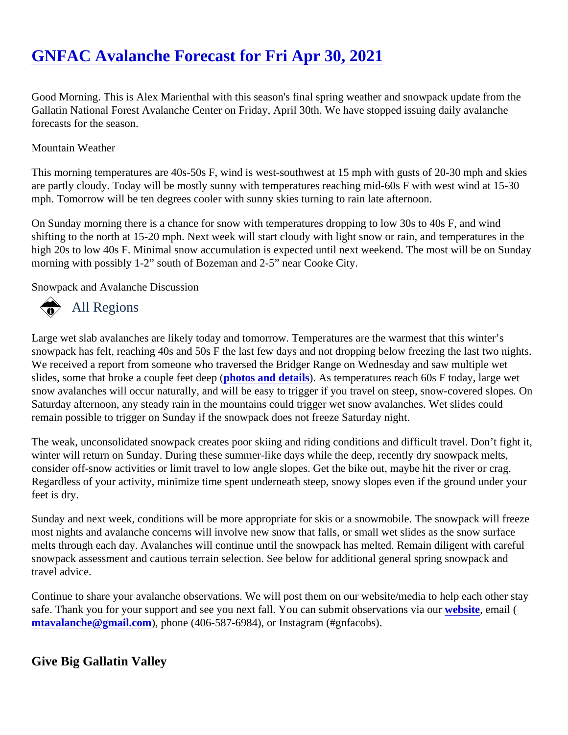# [GNFAC Avalanche Forecast for Fri Apr 30, 2021](https://www.mtavalanche.com/forecast/21/04/30)

Good Morning. This is Alex Marienthal with this season's final spring weather and snowpack update from the Gallatin National Forest Avalanche Center on Friday, April 30th. We have stopped issuing daily avalanche forecasts for the season.

### Mountain Weather

This morning temperatures are 40s-50s F, wind is west-southwest at 15 mph with gusts of 20-30 mph and ski are partly cloudy. Today will be mostly sunny with temperatures reaching mid-60s F with west wind at 15-30 mph. Tomorrow will be ten degrees cooler with sunny skies turning to rain late afternoon.

On Sunday morning there is a chance for snow with temperatures dropping to low 30s to 40s F, and wind shifting to the north at 15-20 mph. Next week will start cloudy with light snow or rain, and temperatures in the high 20s to low 40s F. Minimal snow accumulation is expected until next weekend. The most will be on Sunda morning with possibly 1-2" south of Bozeman and 2-5" near Cooke City.

Snowpack and Avalanche Discussion

# All Regions

Large wet slab avalanches are likely today and tomorrow. Temperatures are the warmest that this winter's snowpack has felt, reaching 40s and 50s F the last few days and not dropping below freezing the last two nig We received a report from someone who traversed the Bridger Range on Wednesday and saw multiple wet slides, some that broke a couple feet deeptos and details. As temperatures reach 60s F today, large wet snow avalanches will occur naturally, and will be easy to trigger if you travel on steep, snow-covered slopes. Saturday afternoon, any steady rain in the mountains could trigger wet snow avalanches. Wet slides could remain possible to trigger on Sunday if the snowpack does not freeze Saturday night.

The weak, unconsolidated snowpack creates poor skiing and riding conditions and difficult travel. Don't fight i winter will return on Sunday. During these summer-like days while the deep, recently dry snowpack melts, consider off-snow activities or limit travel to low angle slopes. Get the bike out, maybe hit the river or crag. Regardless of your activity, minimize time spent underneath steep, snowy slopes even if the ground under your feet is dry.

Sunday and next week, conditions will be more appropriate for skis or a snowmobile. The snowpack will freez most nights and avalanche concerns will involve new snow that falls, or small wet slides as the snow surface melts through each day. Avalanches will continue until the snowpack has melted. Remain diligent with carefu snowpack assessment and cautious terrain selection. See below for additional general spring snowpack and travel advice.

Continue to share your avalanche observations. We will post them on our website/media to help each other s safe. Thank you for your support and see you next fall. You can submit observations with site email ( [mtavalanche@gmail.com](mailto:mtavalanche@gmail.com)), phone (406-587-6984), or Instagram (#gnfacobs).

## Give Big Gallatin Valley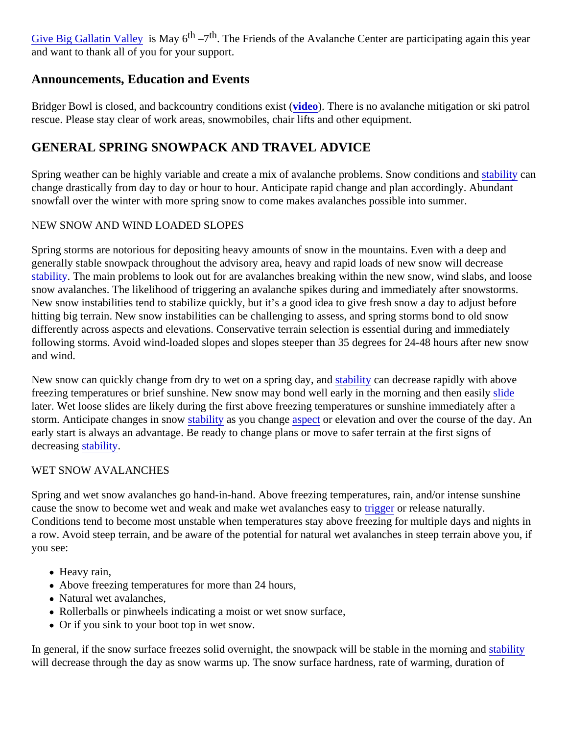[Give Big Gallatin Valley](https://www.givebiggv.org/organizations/friends-of-gnfac) is May 6<sup>th</sup> –7<sup>th</sup>. The Friends of the Avalanche Center are participating again this year and want to thank all of you for your support.

## Announcements, Education and Events

Bridger Bowl is closed, and backcountry conditions existeo). There is no avalanche mitigation or ski patrol rescue. Please stay clear of work areas, snowmobiles, chair lifts and other equipment.

## GENERAL SPRING SNOWPACK AND TRAVEL ADVICE

Spring weather can be highly variable and create a mix of avalanche problems. Snow conditions land and stated and stated and stated and stated with and stated and stated with and stated and stated with  $\frac{1}{2}$ change drastically from day to day or hour to hour. Anticipate rapid change and plan accordingly. Abundant snowfall over the winter with more spring snow to come makes avalanches possible into summer.

### NEW SNOW AND WIND LOADED SLOPES

Spring storms are notorious for depositing heavy amounts of snow in the mountains. Even with a deep and generally stable snowpack throughout the advisory area, heavy and rapid loads of new snow will decrease [stability.](https://www.mtavalanche.com/taxonomy/term/309) The main problems to look out for are avalanches breaking within the new snow, wind slabs, and loo snow avalanches. The likelihood of triggering an avalanche spikes during and immediately after snowstorms. New snow instabilities tend to stabilize quickly, but it's a good idea to give fresh snow a day to adjust before hitting big terrain. New snow instabilities can be challenging to assess, and spring storms bond to old snow differently across aspects and elevations. Conservative terrain selection is essential during and immediately following storms. Avoid wind-loaded slopes and slopes steeper than 35 degrees for 24-48 hours after new snow and wind.

New snow can quickly change from dry to wet on a spring day stability can decrease rapidly with above freezing temperatures or brief sunshine. New snow may bond well early in the morning and then detaily later. Wet loose slides are likely during the first above freezing temperatures or sunshine immediately after a storm. Anticipate changes in snow ability as you change spector elevation and over the course of the day. An early start is always an advantage. Be ready to change plans or move to safer terrain at the first signs of decreasing tability.

#### WET SNOW AVALANCHES

Spring and wet snow avalanches go hand-in-hand. Above freezing temperatures, rain, and/or intense sunshir cause the snow to become wet and weak and make wet avalanches reasy tor release naturally. Conditions tend to become most unstable when temperatures stay above freezing for multiple days and night a row. Avoid steep terrain, and be aware of the potential for natural wet avalanches in steep terrain above yo you see:

- Heavy rain,
- Above freezing temperatures for more than 24 hours,
- Natural wet avalanches,
- Rollerballs or pinwheels indicating a moist or wet snow surface,
- Or if you sink to your boot top in wet snow.

In general, if the snow surface freezes solid overnight, the snowpack will be stable in the morning bilityd will decrease through the day as snow warms up. The snow surface hardness, rate of warming, duration of